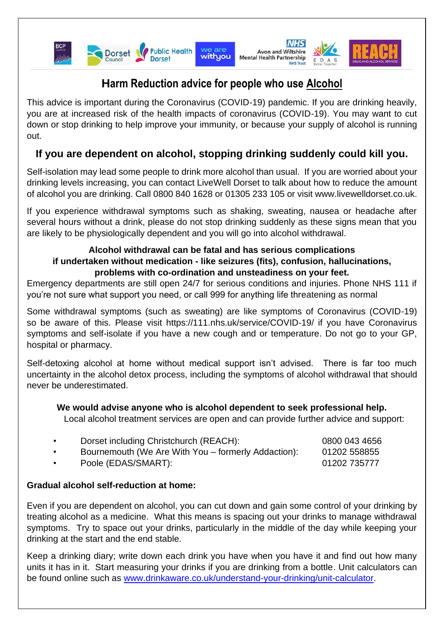

# **Harm Reduction advice for people who use Alcohol**

This advice is important during the Coronavirus (COVID-19) pandemic. If you are drinking heavily, you are at increased risk of the health impacts of coronavirus (COVID-19). You may want to cut down or stop drinking to help improve your immunity, or because your supply of alcohol is running out.

## **If you are dependent on alcohol, stopping drinking suddenly could kill you.**

Self-isolation may lead some people to drink more alcohol than usual. If you are worried about your drinking levels increasing, you can contact LiveWell Dorset to talk about how to reduce the amount of alcohol you are drinking. Call 0800 840 1628 or 01305 233 105 or visit www.livewelldorset.co.uk.

If you experience withdrawal symptoms such as shaking, sweating, nausea or headache after several hours without a drink, please do not stop drinking suddenly as these signs mean that you are likely to be physiologically dependent and you will go into alcohol withdrawal.

#### **Alcohol withdrawal can be fatal and has serious complications if undertaken without medication - like seizures (fits), confusion, hallucinations, problems with co-ordination and unsteadiness on your feet.**

Emergency departments are still open 24/7 for serious conditions and injuries. Phone NHS 111 if you're not sure what support you need, or call 999 for anything life threatening as normal

Some withdrawal symptoms (such as sweating) are like symptoms of Coronavirus (COVID-19) so be aware of this. Please visit https://111.nhs.uk/service/COVID-19/ if you have Coronavirus symptoms and self-isolate if you have a new cough and or temperature. Do not go to your GP, hospital or pharmacy.

Self-detoxing alcohol at home without medical support isn't advised. There is far too much uncertainty in the alcohol detox process, including the symptoms of alcohol withdrawal that should never be underestimated.

#### **We would advise anyone who is alcohol dependent to seek professional help.**

Local alcohol treatment services are open and can provide further advice and support:

| Dorset including Christchurch (REACH):              | 0800 043 4656 |
|-----------------------------------------------------|---------------|
| Bournemouth (We Are With You – formerly Addaction): | 01202 558855  |
| Poole (EDAS/SMART):                                 | 01202 735777  |

#### **Gradual alcohol self-reduction at home:**

Even if you are dependent on alcohol, you can cut down and gain some control of your drinking by treating alcohol as a medicine. What this means is spacing out your drinks to manage withdrawal symptoms. Try to space out your drinks, particularly in the middle of the day while keeping your drinking at the start and the end stable.

Keep a drinking diary; write down each drink you have when you have it and find out how many units it has in it. Start measuring your drinks if you are drinking from a bottle. Unit calculators can be found online such as [www.drinkaware.co.uk/understand-your-drinking/unit-calculator.](http://www.drinkaware.co.uk/understand-your-drinking/unit-calculator)